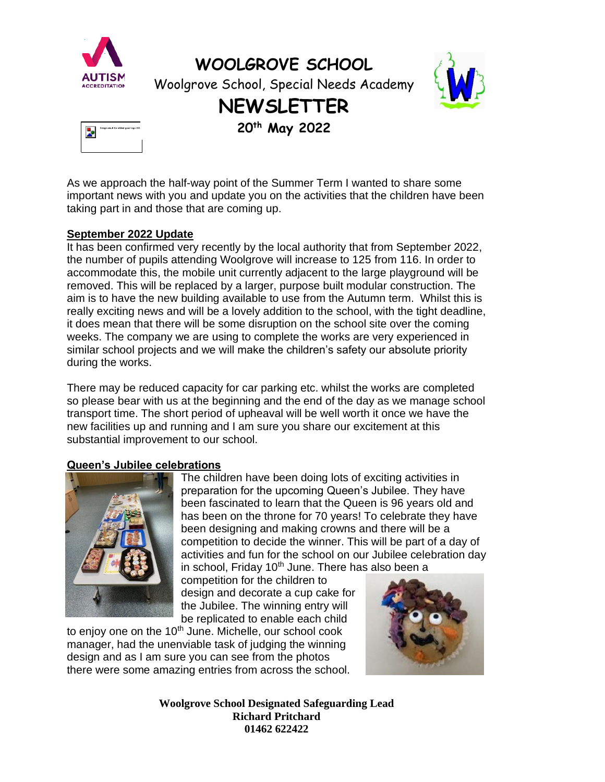

**WOOLGROVE SCHOOL**

Woolgrove School, Special Needs Academy



### **NEWSLETTER**

**20th May 2022**



As we approach the half-way point of the Summer Term I wanted to share some important news with you and update you on the activities that the children have been taking part in and those that are coming up.

#### **September 2022 Update**

It has been confirmed very recently by the local authority that from September 2022, the number of pupils attending Woolgrove will increase to 125 from 116. In order to accommodate this, the mobile unit currently adjacent to the large playground will be removed. This will be replaced by a larger, purpose built modular construction. The aim is to have the new building available to use from the Autumn term. Whilst this is really exciting news and will be a lovely addition to the school, with the tight deadline, it does mean that there will be some disruption on the school site over the coming weeks. The company we are using to complete the works are very experienced in similar school projects and we will make the children's safety our absolute priority during the works.

There may be reduced capacity for car parking etc. whilst the works are completed so please bear with us at the beginning and the end of the day as we manage school transport time. The short period of upheaval will be well worth it once we have the new facilities up and running and I am sure you share our excitement at this substantial improvement to our school.

#### **Queen's Jubilee celebrations**



The children have been doing lots of exciting activities in preparation for the upcoming Queen's Jubilee. They have been fascinated to learn that the Queen is 96 years old and has been on the throne for 70 years! To celebrate they have been designing and making crowns and there will be a competition to decide the winner. This will be part of a day of activities and fun for the school on our Jubilee celebration day in school, Friday 10<sup>th</sup> June. There has also been a

competition for the children to design and decorate a cup cake for the Jubilee. The winning entry will be replicated to enable each child

to enjoy one on the  $10<sup>th</sup>$  June. Michelle, our school cook manager, had the unenviable task of judging the winning design and as I am sure you can see from the photos there were some amazing entries from across the school.

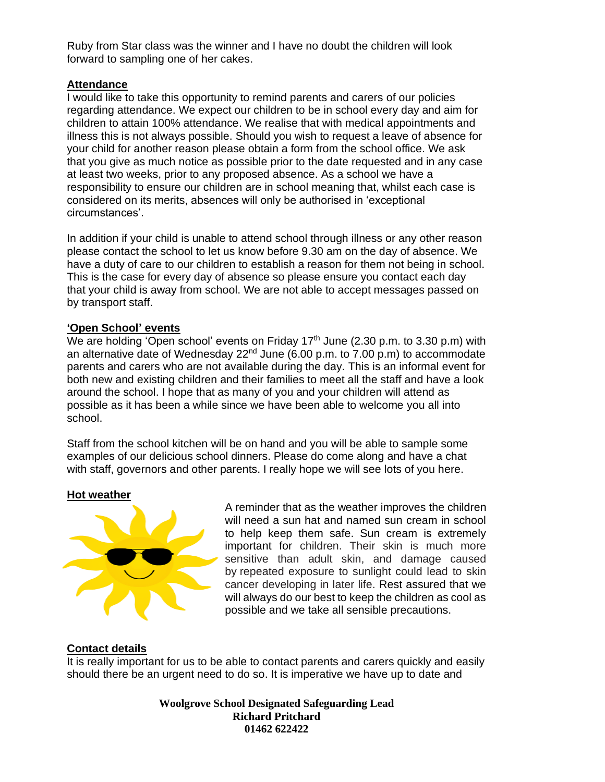Ruby from Star class was the winner and I have no doubt the children will look forward to sampling one of her cakes.

#### **Attendance**

I would like to take this opportunity to remind parents and carers of our policies regarding attendance. We expect our children to be in school every day and aim for children to attain 100% attendance. We realise that with medical appointments and illness this is not always possible. Should you wish to request a leave of absence for your child for another reason please obtain a form from the school office. We ask that you give as much notice as possible prior to the date requested and in any case at least two weeks, prior to any proposed absence. As a school we have a responsibility to ensure our children are in school meaning that, whilst each case is considered on its merits, absences will only be authorised in 'exceptional circumstances'.

In addition if your child is unable to attend school through illness or any other reason please contact the school to let us know before 9.30 am on the day of absence. We have a duty of care to our children to establish a reason for them not being in school. This is the case for every day of absence so please ensure you contact each day that your child is away from school. We are not able to accept messages passed on by transport staff.

#### **'Open School' events**

We are holding 'Open school' events on Friday 17<sup>th</sup> June (2.30 p.m. to 3.30 p.m) with an alternative date of Wednesday  $22^{nd}$  June (6.00 p.m. to  $7.00$  p.m) to accommodate parents and carers who are not available during the day. This is an informal event for both new and existing children and their families to meet all the staff and have a look around the school. I hope that as many of you and your children will attend as possible as it has been a while since we have been able to welcome you all into school.

Staff from the school kitchen will be on hand and you will be able to sample some examples of our delicious school dinners. Please do come along and have a chat with staff, governors and other parents. I really hope we will see lots of you here.

#### **Hot weather**



A reminder that as the weather improves the children will need a sun hat and named sun cream in school to help keep them safe. Sun cream is extremely important for children. Their skin is much more sensitive than adult skin, and damage caused by repeated exposure to sunlight could lead to skin cancer developing in later life. Rest assured that we will always do our best to keep the children as cool as possible and we take all sensible precautions.

#### **Contact details**

It is really important for us to be able to contact parents and carers quickly and easily should there be an urgent need to do so. It is imperative we have up to date and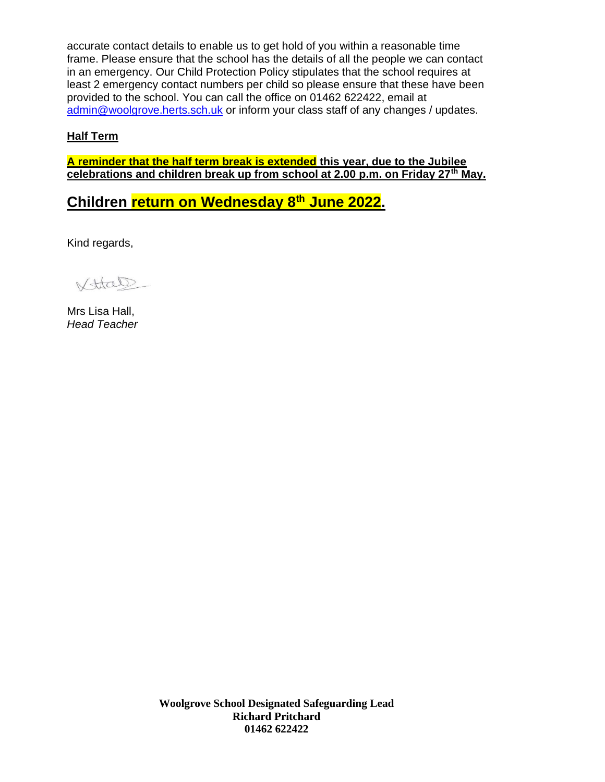accurate contact details to enable us to get hold of you within a reasonable time frame. Please ensure that the school has the details of all the people we can contact [in an emergency. Our Child Protect](mailto:admin@woolgrove.herts.sch.uk)ion Policy stipulates that the school requires at least 2 emergency contact numbers per child so please ensure that these have been provided to the school. You can call the office on 01462 622422, email at admin@woolgrove.herts.sch.uk or inform your class staff of any changes / updates.

### **Half Term**

**A reminder that the half term break is extended this year, due to the Jubilee celebrations and children break up from school at 2.00 p.m. on Friday 27th May.** 

**Children return on Wednesday 8th June 2022.** 

Kind regards,

Vttal

Mrs Lisa Hall, *Head Teacher*